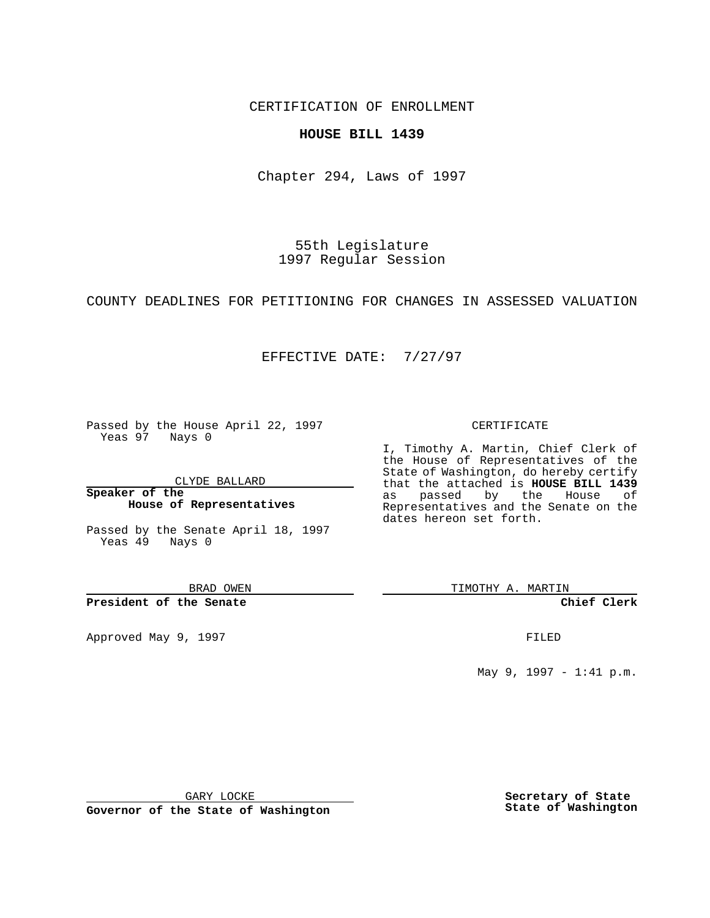CERTIFICATION OF ENROLLMENT

## **HOUSE BILL 1439**

Chapter 294, Laws of 1997

55th Legislature 1997 Regular Session

COUNTY DEADLINES FOR PETITIONING FOR CHANGES IN ASSESSED VALUATION

## EFFECTIVE DATE: 7/27/97

Passed by the House April 22, 1997 Yeas 97 Nays 0

CLYDE BALLARD

**Speaker of the House of Representatives**

Passed by the Senate April 18, 1997 Yeas 49 Nays 0

BRAD OWEN

**President of the Senate**

Approved May 9, 1997 **FILED** 

## CERTIFICATE

I, Timothy A. Martin, Chief Clerk of the House of Representatives of the State of Washington, do hereby certify that the attached is **HOUSE BILL 1439** as passed by the House of Representatives and the Senate on the dates hereon set forth.

TIMOTHY A. MARTIN

**Chief Clerk**

May 9, 1997 - 1:41 p.m.

GARY LOCKE

**Governor of the State of Washington**

**Secretary of State State of Washington**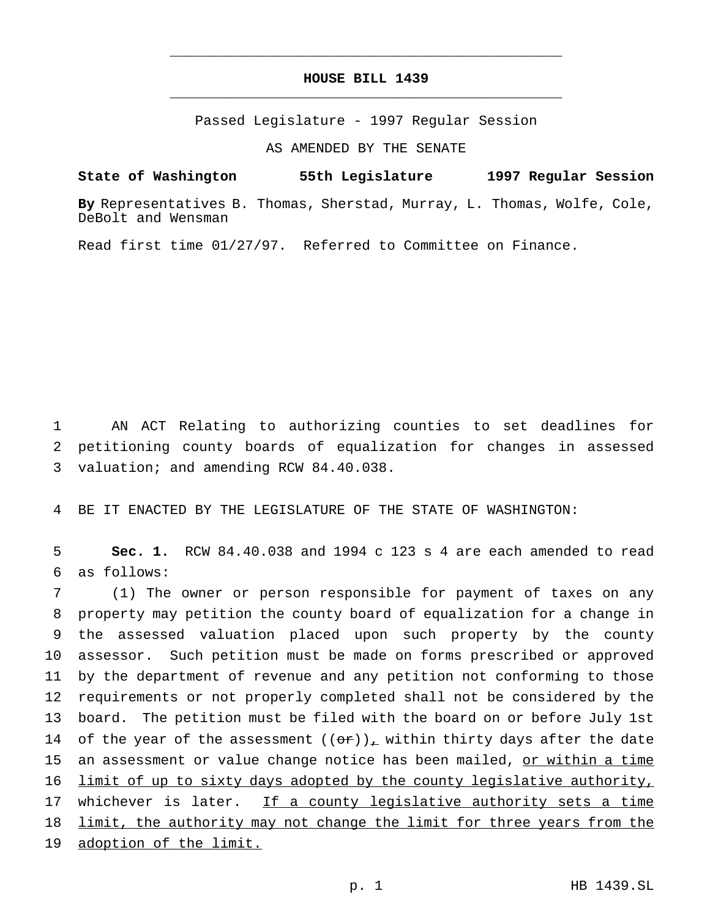## **HOUSE BILL 1439** \_\_\_\_\_\_\_\_\_\_\_\_\_\_\_\_\_\_\_\_\_\_\_\_\_\_\_\_\_\_\_\_\_\_\_\_\_\_\_\_\_\_\_\_\_\_\_

\_\_\_\_\_\_\_\_\_\_\_\_\_\_\_\_\_\_\_\_\_\_\_\_\_\_\_\_\_\_\_\_\_\_\_\_\_\_\_\_\_\_\_\_\_\_\_

Passed Legislature - 1997 Regular Session

AS AMENDED BY THE SENATE

**State of Washington 55th Legislature 1997 Regular Session**

**By** Representatives B. Thomas, Sherstad, Murray, L. Thomas, Wolfe, Cole, DeBolt and Wensman

Read first time 01/27/97. Referred to Committee on Finance.

1 AN ACT Relating to authorizing counties to set deadlines for 2 petitioning county boards of equalization for changes in assessed 3 valuation; and amending RCW 84.40.038.

4 BE IT ENACTED BY THE LEGISLATURE OF THE STATE OF WASHINGTON:

5 **Sec. 1.** RCW 84.40.038 and 1994 c 123 s 4 are each amended to read 6 as follows:

 (1) The owner or person responsible for payment of taxes on any property may petition the county board of equalization for a change in the assessed valuation placed upon such property by the county assessor. Such petition must be made on forms prescribed or approved by the department of revenue and any petition not conforming to those requirements or not properly completed shall not be considered by the board. The petition must be filed with the board on or before July 1st 14 of the year of the assessment  $((or))_x$  within thirty days after the date 15 an assessment or value change notice has been mailed, or within a time 16 limit of up to sixty days adopted by the county legislative authority, 17 whichever is later. If a county legislative authority sets a time 18 limit, the authority may not change the limit for three years from the adoption of the limit.